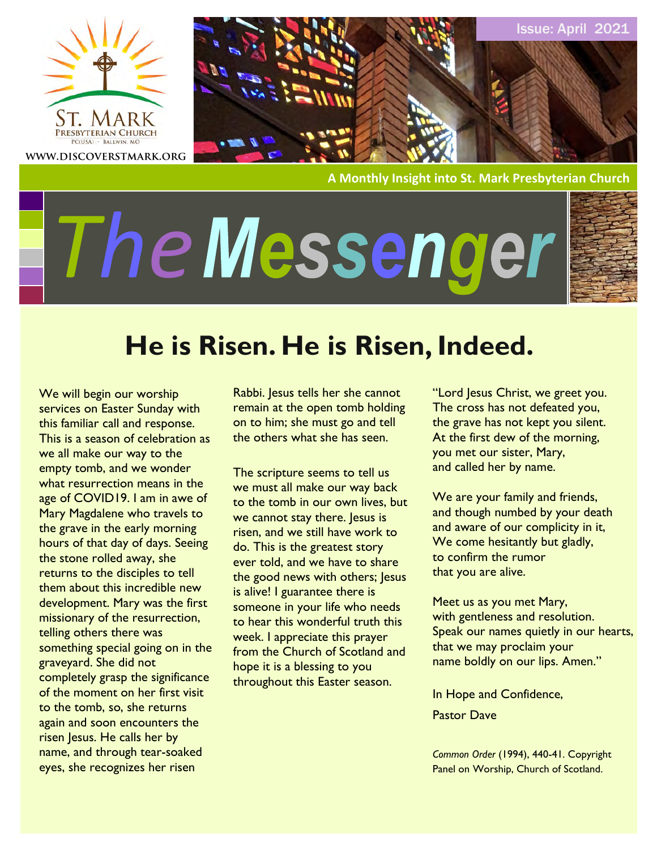



**A Monthly Insight into St. Mark Presbyterian Church**

# *The*



Issue: April 2021

# **He is Risen. He is Risen, Indeed.**

We will begin our worship services on Easter Sunday with this familiar call and response. This is a season of celebration as we all make our way to the empty tomb, and we wonder what resurrection means in the age of COVID19. I am in awe of Mary Magdalene who travels to the grave in the early morning hours of that day of days. Seeing the stone rolled away, she returns to the disciples to tell them about this incredible new development. Mary was the first missionary of the resurrection, telling others there was something special going on in the graveyard. She did not completely grasp the significance of the moment on her first visit to the tomb, so, she returns again and soon encounters the risen Jesus. He calls her by name, and through tear-soaked eyes, she recognizes her risen

Rabbi. Jesus tells her she cannot remain at the open tomb holding on to him; she must go and tell the others what she has seen.

The scripture seems to tell us we must all make our way back to the tomb in our own lives, but we cannot stay there. Jesus is risen, and we still have work to do. This is the greatest story ever told, and we have to share the good news with others; Jesus is alive! I guarantee there is someone in your life who needs to hear this wonderful truth this week. I appreciate this prayer from the Church of Scotland and hope it is a blessing to you throughout this Easter season.

"Lord Jesus Christ, we greet you. The cross has not defeated you, the grave has not kept you silent. At the first dew of the morning, you met our sister, Mary, and called her by name.

We are your family and friends, and though numbed by your death and aware of our complicity in it, We come hesitantly but gladly, to confirm the rumor that you are alive.

Meet us as you met Mary, with gentleness and resolution. Speak our names quietly in our hearts, that we may proclaim your name boldly on our lips. Amen."

In Hope and Confidence,

Pastor Dave

*Common Order* (1994), 440-41. Copyright Panel on Worship, Church of Scotland.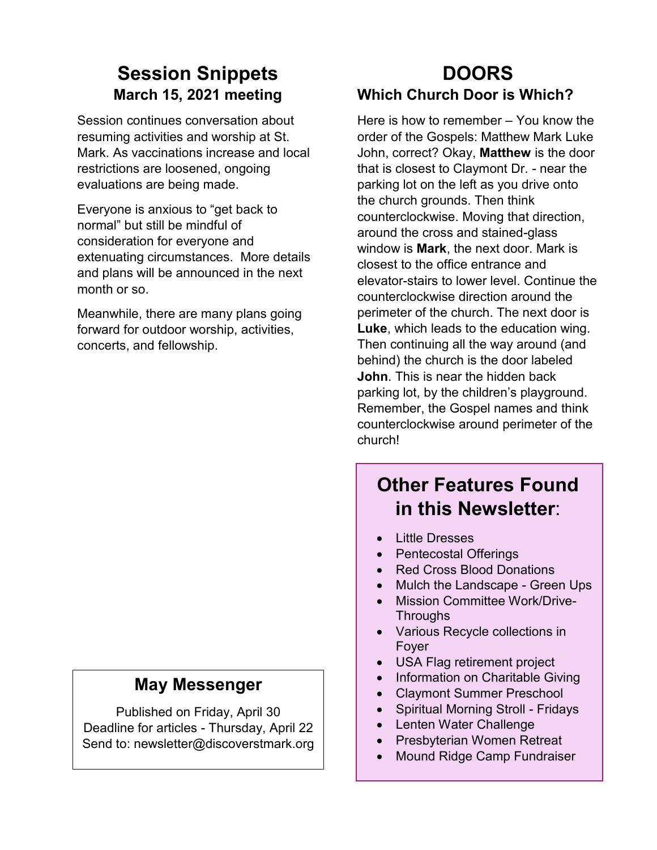# **Session Snippets March 15, 2021 meeting**

Session continues conversation about resuming activities and worship at St. Mark. As vaccinations increase and local restrictions are loosened, ongoing evaluations are being made.

Everyone is anxious to "get back to normal" but still be mindful of consideration for everyone and extenuating circumstances. More details and plans will be announced in the next month or so.

Meanwhile, there are many plans going forward for outdoor worship, activities, concerts, and fellowship.

#### **May Messenger**

Published on Friday, April 30 Deadline for articles - Thursday, April 22 Send to: newsletter@discoverstmark.org

## **DOORS Which Church Door is Which?**

Here is how to remember – You know the order of the Gospels: Matthew Mark Luke John, correct? Okay, **Matthew** is the door that is closest to Claymont Dr. - near the parking lot on the left as you drive onto the church grounds. Then think counterclockwise. Moving that direction, around the cross and stained-glass window is **Mark**, the next door. Mark is closest to the office entrance and elevator-stairs to lower level. Continue the counterclockwise direction around the perimeter of the church. The next door is **Luke**, which leads to the education wing. Then continuing all the way around (and behind) the church is the door labeled **John**. This is near the hidden back parking lot, by the children's playground. Remember, the Gospel names and think counterclockwise around perimeter of the church!

# **Other Features Found in this Newsletter**:

- Little Dresses
- Pentecostal Offerings
- Red Cross Blood Donations
- Mulch the Landscape Green Ups
- Mission Committee Work/Drive-**Throughs**
- Various Recycle collections in Foyer
- USA Flag retirement project
- Information on Charitable Giving
- Claymont Summer Preschool
- Spiritual Morning Stroll Fridays
- Lenten Water Challenge
- Presbyterian Women Retreat
- Mound Ridge Camp Fundraiser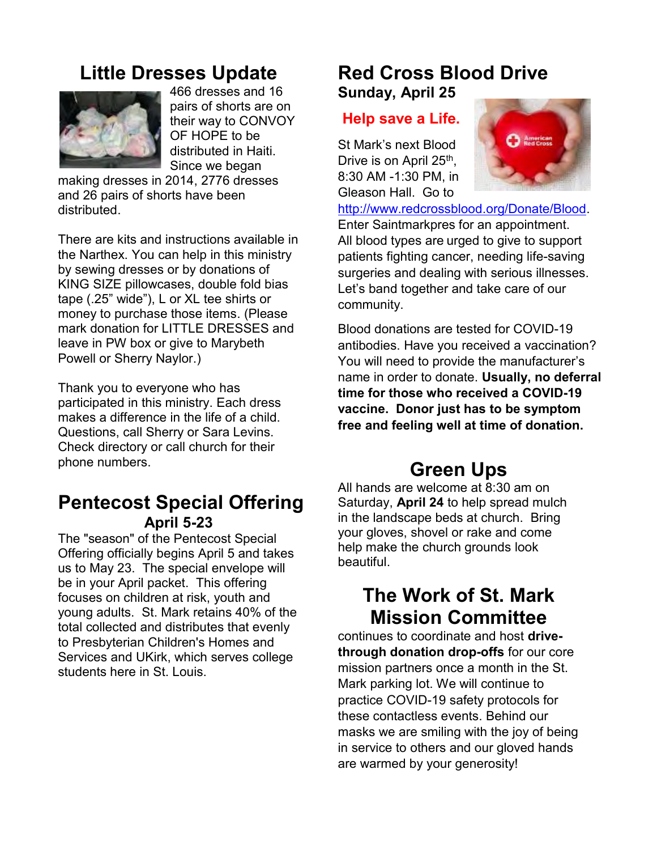# **Little Dresses Update**



466 dresses and 16 pairs of shorts are on their way to CONVOY OF HOPE to be distributed in Haiti. Since we began

making dresses in 2014, 2776 dresses and 26 pairs of shorts have been distributed.

There are kits and instructions available in the Narthex. You can help in this ministry by sewing dresses or by donations of KING SIZE pillowcases, double fold bias tape (.25" wide"), L or XL tee shirts or money to purchase those items. (Please mark donation for LITTLE DRESSES and leave in PW box or give to Marybeth Powell or Sherry Naylor.)

Thank you to everyone who has participated in this ministry. Each dress makes a difference in the life of a child. Questions, call Sherry or Sara Levins. Check directory or call church for their phone numbers.

#### **Pentecost Special Offering April 5-23**

The "season" of the Pentecost Special Offering officially begins April 5 and takes us to May 23. The special envelope will be in your April packet. This offering focuses on children at risk, youth and young adults. St. Mark retains 40% of the total collected and distributes that evenly to Presbyterian Children's Homes and Services and UKirk, which serves college students here in St. Louis.

## **Red Cross Blood Drive Sunday, April 25**

#### **Help save a Life.**

St Mark's next Blood Drive is on April 25<sup>th</sup>, 8:30 AM -1:30 PM, in Gleason Hall. Go to



[http://www.redcrossblood.org/Donate/Blood.](http://www.redcrossblood.org/Donate/Blood) Enter Saintmarkpres for an appointment. All blood types are urged to give to support patients fighting cancer, needing life-saving surgeries and dealing with serious illnesses. Let's band together and take care of our community.

Blood donations are tested for COVID-19 antibodies. Have you received a vaccination? You will need to provide the manufacturer's name in order to donate. **Usually, no deferral time for those who received a COVID-19 vaccine. Donor just has to be symptom free and feeling well at time of donation.**

# **Green Ups**

All hands are welcome at 8:30 am on Saturday, **April 24** to help spread mulch in the landscape beds at church. Bring your gloves, shovel or rake and come help make the church grounds look beautiful.

# **The Work of St. Mark Mission Committee**

continues to coordinate and host **drivethrough donation drop-offs** for our core mission partners once a month in the St. Mark parking lot. We will continue to practice COVID-19 safety protocols for these contactless events. Behind our masks we are smiling with the joy of being in service to others and our gloved hands are warmed by your generosity!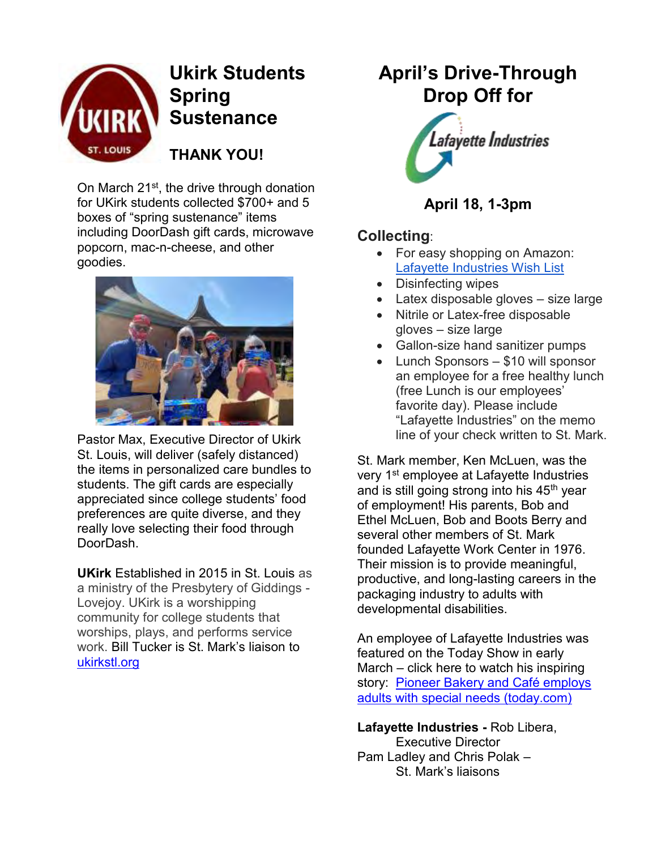

# **Ukirk Students Spring Sustenance**

**THANK YOU!**

On March 21<sup>st</sup>, the drive through donation for UKirk students collected \$700+ and 5 boxes of "spring sustenance" items including DoorDash gift cards, microwave popcorn, mac-n-cheese, and other goodies.



Pastor Max, Executive Director of Ukirk St. Louis, will deliver (safely distanced) the items in personalized care bundles to students. The gift cards are especially appreciated since college students' food preferences are quite diverse, and they really love selecting their food through DoorDash.

**UKirk** Established in 2015 in St. Louis as a ministry of the Presbytery of Giddings - Lovejoy. UKirk is a worshipping community for college students that worships, plays, and performs service work. Bill Tucker is St. Mark's liaison to [ukirkstl.org](file:///C:/Users/JFB/Documents/St.%20Mark%20Mission/ukirkstl.org)

# **April's Drive-Through Drop Off for**



#### **April 18, 1-3pm**

#### **Collecting**:

- For easy shopping on Amazon: [Lafayette Industries Wish List](https://www.amazon.com/hz/wishlist/ls/AVZOCE65MXR8?ref_=wl_share)
- Disinfecting wipes
- Latex disposable gloves size large
- Nitrile or Latex-free disposable gloves – size large
- Gallon-size hand sanitizer pumps
- Lunch Sponsors \$10 will sponsor an employee for a free healthy lunch (free Lunch is our employees' favorite day). Please include "Lafayette Industries" on the memo line of your check written to St. Mark.

St. Mark member, Ken McLuen, was the very 1<sup>st</sup> employee at Lafayette Industries and is still going strong into his 45<sup>th</sup> year of employment! His parents, Bob and Ethel McLuen, Bob and Boots Berry and several other members of St. Mark founded Lafayette Work Center in 1976. Their mission is to provide meaningful, productive, and long-lasting careers in the packaging industry to adults with developmental disabilities.

An employee of Lafayette Industries was featured on the Today Show in early March – click here to watch his inspiring story: [Pioneer Bakery and Café employs](https://www.today.com/video/pioneer-bakery-and-cafe-employs-adults-with-special-needs-101887557865?fbclid=IwAR0TY4Gen_zh9Yd9aIYOb22J-lwhlcmhhjuDG8yJmwvbG4-e2-yx0pRIVdA)  [adults with special needs \(today.com\)](https://www.today.com/video/pioneer-bakery-and-cafe-employs-adults-with-special-needs-101887557865?fbclid=IwAR0TY4Gen_zh9Yd9aIYOb22J-lwhlcmhhjuDG8yJmwvbG4-e2-yx0pRIVdA)

**Lafayette Industries -** Rob Libera, Executive Director Pam Ladley and Chris Polak – St. Mark's liaisons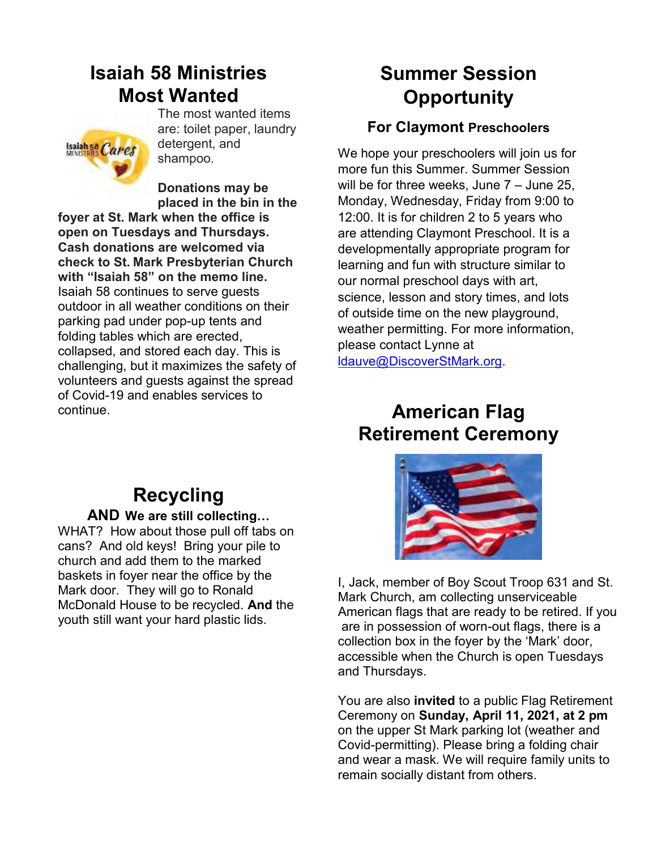# **Isaiah 58 Ministries Most Wanted**



The most wanted items are: toilet paper, laundry detergent, and shampoo.

**Donations may be placed in the bin in the** 

**foyer at St. Mark when the office is open on Tuesdays and Thursdays. Cash donations are welcomed via check to St. Mark Presbyterian Church with "Isaiah 58" on the memo line.**  Isaiah 58 continues to serve guests outdoor in all weather conditions on their parking pad under pop-up tents and folding tables which are erected, collapsed, and stored each day. This is challenging, but it maximizes the safety of volunteers and guests against the spread of Covid-19 and enables services to continue.

# **Summer Session Opportunity**

#### **For Claymont Preschoolers**

We hope your preschoolers will join us for more fun this Summer. Summer Session will be for three weeks, June 7 – June 25, Monday, Wednesday, Friday from 9:00 to 12:00. It is for children 2 to 5 years who are attending Claymont Preschool. It is a developmentally appropriate program for learning and fun with structure similar to our normal preschool days with art, science, lesson and story times, and lots of outside time on the new playground, weather permitting. For more information, please contact Lynne at [ldauve@DiscoverStMark.org.](mailto:ldauve@DiscoverStMark.org)

## **American Flag Retirement Ceremony**



I, Jack, member of Boy Scout Troop 631 and St. Mark Church, am collecting unserviceable American flags that are ready to be retired. If you are in possession of worn-out flags, there is a collection box in the foyer by the 'Mark' door, accessible when the Church is open Tuesdays and Thursdays.

You are also **invited** to a public Flag Retirement Ceremony on **Sunday, April 11, 2021, at 2 pm** on the upper St Mark parking lot (weather and Covid-permitting). Please bring a folding chair and wear a mask. We will require family units to remain socially distant from others.

# **Recycling**

#### **AND We are still collecting…**

WHAT? How about those pull off tabs on cans? And old keys! Bring your pile to church and add them to the marked baskets in foyer near the office by the Mark door. They will go to Ronald McDonald House to be recycled. **And** the youth still want your hard plastic lids.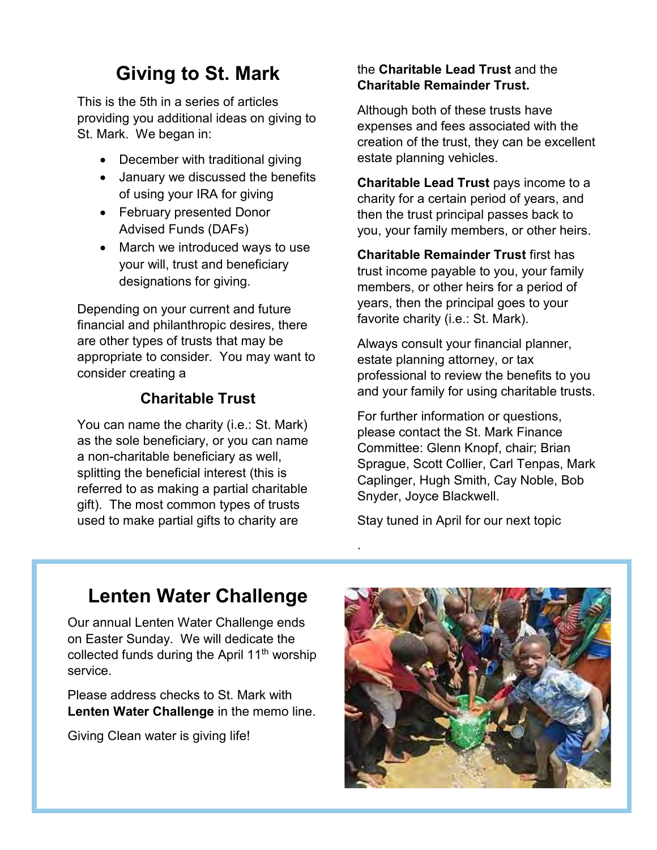# **Giving to St. Mark**

This is the 5th in a series of articles providing you additional ideas on giving to St. Mark. We began in:

- December with traditional giving
- January we discussed the benefits of using your IRA for giving
- February presented Donor Advised Funds (DAFs)
- March we introduced ways to use your will, trust and beneficiary designations for giving.

Depending on your current and future financial and philanthropic desires, there are other types of trusts that may be appropriate to consider. You may want to consider creating a

#### **Charitable Trust**

You can name the charity (i.e.: St. Mark) as the sole beneficiary, or you can name a non-charitable beneficiary as well, splitting the beneficial interest (this is referred to as making a partial charitable gift). The most common types of trusts used to make partial gifts to charity are

#### the **Charitable Lead Trust** and the **Charitable Remainder Trust.**

Although both of these trusts have expenses and fees associated with the creation of the trust, they can be excellent estate planning vehicles.

**Charitable Lead Trust** pays income to a charity for a certain period of years, and then the trust principal passes back to you, your family members, or other heirs.

**Charitable Remainder Trust** first has trust income payable to you, your family members, or other heirs for a period of years, then the principal goes to your favorite charity (i.e.: St. Mark).

Always consult your financial planner, estate planning attorney, or tax professional to review the benefits to you and your family for using charitable trusts.

For further information or questions, please contact the St. Mark Finance Committee: Glenn Knopf, chair; Brian Sprague, Scott Collier, Carl Tenpas, Mark Caplinger, Hugh Smith, Cay Noble, Bob Snyder, Joyce Blackwell.

Stay tuned in April for our next topic

.

# **Lenten Water Challenge**

Our annual Lenten Water Challenge ends on Easter Sunday. We will dedicate the collected funds during the April 11<sup>th</sup> worship service.

Please address checks to St. Mark with **Lenten Water Challenge** in the memo line.

Giving Clean water is giving life!

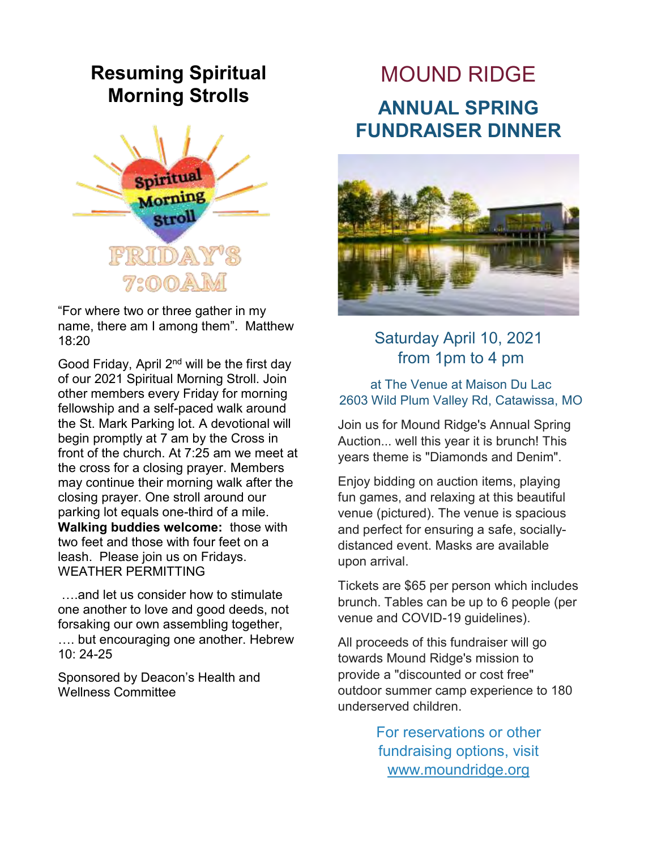# **Resuming Spiritual Morning Strolls**



"For where two or three gather in my name, there am I among them". Matthew 18:20

Good Friday, April 2nd will be the first day of our 2021 Spiritual Morning Stroll. Join other members every Friday for morning fellowship and a self-paced walk around the St. Mark Parking lot. A devotional will begin promptly at 7 am by the Cross in front of the church. At 7:25 am we meet at the cross for a closing prayer. Members may continue their morning walk after the closing prayer. One stroll around our parking lot equals one-third of a mile. **Walking buddies welcome:** those with two feet and those with four feet on a leash. Please join us on Fridays. WEATHER PERMITTING

….and let us consider how to stimulate one another to love and good deeds, not forsaking our own assembling together, …. but encouraging one another. Hebrew 10: 24-25

Sponsored by Deacon's Health and Wellness Committee

# MOUND RIDGE **ANNUAL SPRING FUNDRAISER DINNER**



Saturday April 10, 2021 from 1pm to 4 pm

at The Venue at Maison Du Lac 2603 Wild Plum Valley Rd, Catawissa, MO

Join us for Mound Ridge's Annual Spring Auction... well this year it is brunch! This years theme is "Diamonds and Denim".

Enjoy bidding on auction items, playing fun games, and relaxing at this beautiful venue (pictured). The venue is spacious and perfect for ensuring a safe, sociallydistanced event. Masks are available upon arrival.

Tickets are \$65 per person which includes brunch. Tables can be up to 6 people (per venue and COVID-19 guidelines).

All proceeds of this fundraiser will go towards Mound Ridge's mission to provide a "discounted or cost free" outdoor summer camp experience to 180 underserved children.

> For reservations or other fundraising options, visit [www.moundridge.org](http://www.moundridge.org/)